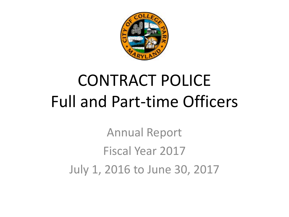

# CONTRACT POLICE Full and Part-time Officers

Annual Report Fiscal Year 2017 July 1, 2016 to June 30, 2017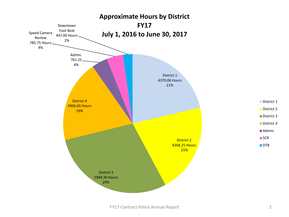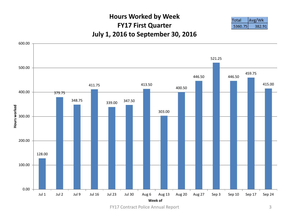#### **Hours Worked by Week FY17 First Quarter July 1, 2016 to September 30, 2016**





FY17 Contract Police Annual Report 3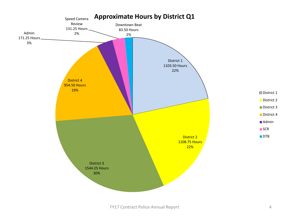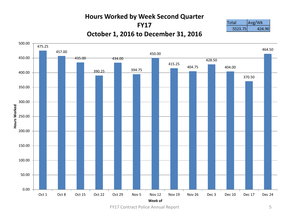#### **Hours Worked by Week Second Quarter FY17 October 1, 2016 to December 31, 2016**





FY17 Contract Police Annual Report 5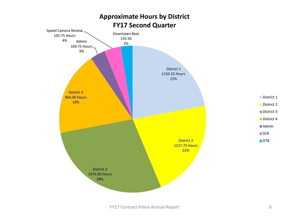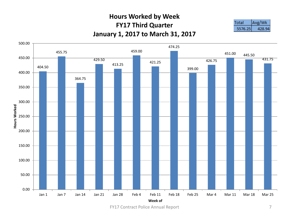#### **Hours Worked by Week FY17 Third Quarter January 1, 2017 to March 31, 2017**





FY17 Contract Police Annual Report 7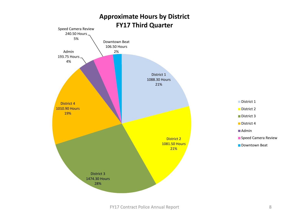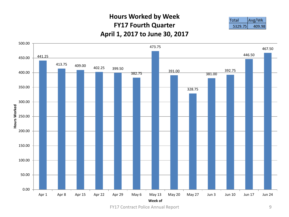#### **Hours Worked by Week FY17 Fourth Quarter April 1, 2017 to June 30, 2017**

| - 32 |
|------|



FY17 Contract Police Annual Report 9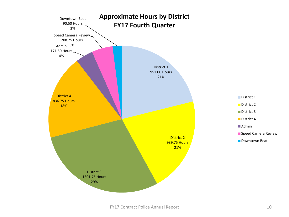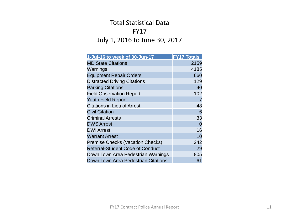## Total Statistical Data FY17 July 1, 2016 to June 30, 2017

| 1-Jul-16 to week of 30-Jun-17           | <b>FY17 Totals</b> |
|-----------------------------------------|--------------------|
| <b>MD State Citations</b>               | 2159               |
| Warnings                                | 4185               |
| <b>Equipment Repair Orders</b>          | 660                |
| <b>Distracted Driving Citations</b>     | 129                |
| <b>Parking Citations</b>                | 40                 |
| <b>Field Observation Report</b>         | 102                |
| <b>Youth Field Report</b>               | 7                  |
| <b>Citations in Lieu of Arrest</b>      | 48                 |
| <b>Civil Citation</b>                   | 6                  |
| <b>Criminal Arrests</b>                 | 33                 |
| <b>DWS Arrest</b>                       | $\overline{0}$     |
| <b>DWI Arrest</b>                       | 16                 |
| <b>Warrant Arrest</b>                   | 10                 |
| <b>Premise Checks (Vacation Checks)</b> | 242                |
| <b>Referral-Student Code of Conduct</b> | 29                 |
| Down Town Area Pedestrian Warnings      | 805                |
| Down Town Area Pedestrian Citations     | 61                 |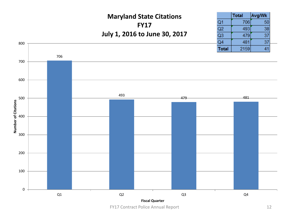## **Maryland State Citations FY17 July 1, 2016 to June 30, 2017**

|       | Total | Avg/Wk |  |
|-------|-------|--------|--|
| Q1    | 706   | 50     |  |
| Q2    | 493   | 38     |  |
| Q3    | 479   | 37     |  |
| Q4    | 481   | 37     |  |
| Total | 2159  | 41     |  |

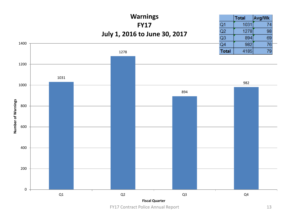

FY17 Contract Police Annual Report 13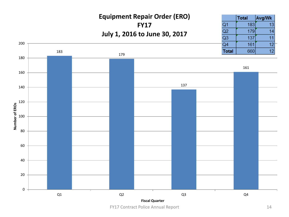## **Equipment Repair Order (ERO) FY17 July 1, 2016 to June 30, 2017**

|                | <b>Total</b> | Avg/Wk |
|----------------|--------------|--------|
| Q <sub>1</sub> | 183          | 13     |
| Q2             | 179          | 14     |
| Q <sub>3</sub> | 137          |        |
| Q4             | 161          | 12     |
| <b>Total</b>   | 660          | 12     |

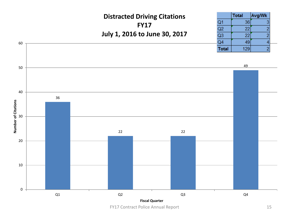

FY17 Contract Police Annual Report 15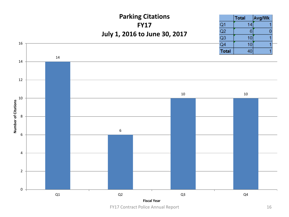#### **Parking Citations** Total Avg/Wk  $14$ **FY17**  $Q1$  $Q2$  $\,$  6  $\,$  $\mathbf{0}$ **July 1, 2016 to June 30, 2017** $Q3$  $10$ 1 16  $Q<sub>4</sub>$  $10$ 1 **Total** 40 1



FY17 Contract Police Annual Report 16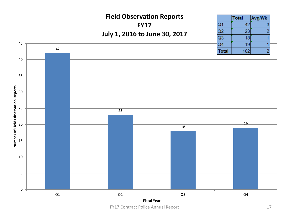### **Field Observation Reports FY17 July 1, 2016 to June 30, 2017**

|                | <b>Total</b> | Avg/Wk         |  |
|----------------|--------------|----------------|--|
| Q <sub>1</sub> | 42           | 3              |  |
| Q2             | 23           | $\overline{2}$ |  |
| Q3             | 18           |                |  |
| Q4             | 19           |                |  |
| <b>Total</b>   | 102          | 2              |  |



FY17 Contract Police Annual Report 17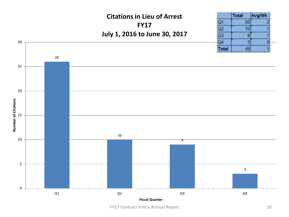#### **Citations in Lieu of Arrest FY17 July 1, 2016 to June 30, 2017**

|                | <b>Total</b> | <b>Avg/Wk</b>  |
|----------------|--------------|----------------|
| Q1             | 26           | $\overline{2}$ |
| Q2             | 10           |                |
| Q <sub>3</sub> | g            |                |
| Q4             | 3            |                |
| <b>Total</b>   | 48           |                |



FY17 Contract Police Annual Report 18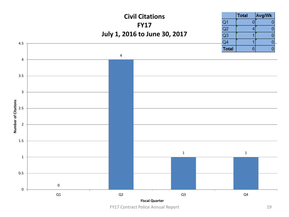

FY17 Contract Police Annual Report 19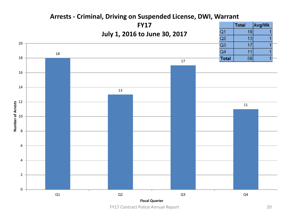#### **FY17** Total Avg/Wk  $Q1$ **July 1, 2016 to June 30, 2017** $Q2$   $Q3$  $Q4$  **Total Number of Arrests**  $Q1$   $Q2$   $Q3$   $Q4$ **Fiscal Quarter**

#### **Arrests - Criminal, Driving on Suspended License, DWI, Warrant**

FY17 Contract Police Annual Report 20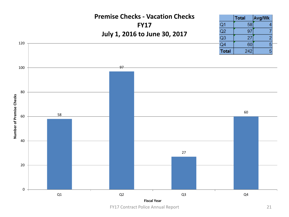#### **Premise Checks - Vacation Checks FY17 July 1, 2016 to June 30, 2017**

|                | Total | Avg/Wk |
|----------------|-------|--------|
| Q <sub>1</sub> | 58    |        |
| Q2             | 97    |        |
| Q3             | 27    | 2      |
| Q4             | 60    | 5      |
| <b>Total</b>   | 242   | 5      |



FY17 Contract Police Annual Report 21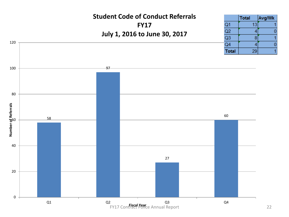#### **Student Code of Conduct Referrals FY17 July 1, 2016 to June 30, 2017**



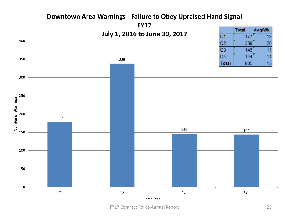#### **FY17** Total Avg/Wk **July 1, 2016 to June 30, 2017** $Q<sub>1</sub>$ 177 13 400  $Q2$ 338 26  $Q3$  $11$ 146  $11$  $Q<sub>4</sub>$ 144 350 338 15 **Total** 805 300 250 Number of Warnings **Number of Warnings** 200 177 146 144 150 100 50 0  $Q1$   $Q2$   $Q3$   $Q4$ **Fiscal Year**

#### **Downtown Area Warnings - Failure to Obey Upraised Hand Signal**

FY17 Contract Police Annual Report 23